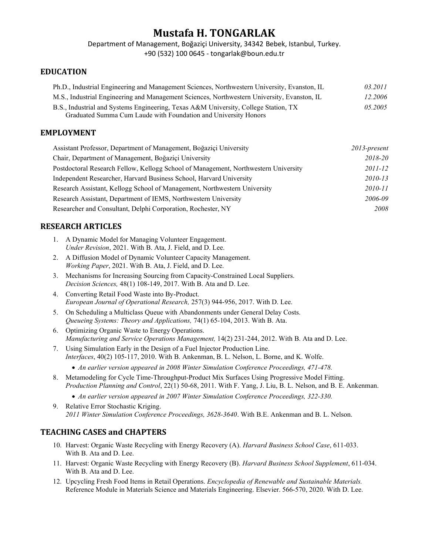# Mustafa H. TONGARLAK

Department of Management, Boğaziçi University, 34342 Bebek, Istanbul, Turkey. +90 (532) 100 0645 - tongarlak@boun.edu.tr

#### EDUCATION

| Ph.D., Industrial Engineering and Management Sciences, Northwestern University, Evanston, IL | 03.2011 |
|----------------------------------------------------------------------------------------------|---------|
| M.S., Industrial Engineering and Management Sciences, Northwestern University, Evanston, IL  | 12.2006 |
| B.S., Industrial and Systems Engineering, Texas A&M University, College Station, TX          | 05.2005 |
| Graduated Summa Cum Laude with Foundation and University Honors                              |         |

#### EMPLOYMENT

| Assistant Professor, Department of Management, Boğaziçi University                  | $2013$ -present |
|-------------------------------------------------------------------------------------|-----------------|
| Chair, Department of Management, Boğaziçi University                                | 2018-20         |
| Postdoctoral Research Fellow, Kellogg School of Management, Northwestern University | 2011-12         |
| Independent Researcher, Harvard Business School, Harvard University                 | 2010-13         |
| Research Assistant, Kellogg School of Management, Northwestern University           | 2010-11         |
| Research Assistant, Department of IEMS, Northwestern University                     | 2006-09         |
| Researcher and Consultant, Delphi Corporation, Rochester, NY                        | 2008            |

### RESEARCH ARTICLES

- 1. A Dynamic Model for Managing Volunteer Engagement. Under Revision, 2021. With B. Ata, J. Field, and D. Lee.
- 2. A Diffusion Model of Dynamic Volunteer Capacity Management. Working Paper, 2021. With B. Ata, J. Field, and D. Lee.
- 3. Mechanisms for Increasing Sourcing from Capacity-Constrained Local Suppliers. Decision Sciences, 48(1) 108-149, 2017. With B. Ata and D. Lee.
- 4. Converting Retail Food Waste into By-Product. European Journal of Operational Research, 257(3) 944-956, 2017. With D. Lee.
- 5. On Scheduling a Multiclass Queue with Abandonments under General Delay Costs. Queueing Systems: Theory and Applications, 74(1) 65-104, 2013. With B. Ata.
- 6. Optimizing Organic Waste to Energy Operations. Manufacturing and Service Operations Management, 14(2) 231-244, 2012. With B. Ata and D. Lee.
- 7. Using Simulation Early in the Design of a Fuel Injector Production Line. Interfaces, 40(2) 105-117, 2010. With B. Ankenman, B. L. Nelson, L. Borne, and K. Wolfe.
	- An earlier version appeared in 2008 Winter Simulation Conference Proceedings, 471-478.
- 8. Metamodeling for Cycle Time-Throughput-Product Mix Surfaces Using Progressive Model Fitting. Production Planning and Control, 22(1) 50-68, 2011. With F. Yang, J. Liu, B. L. Nelson, and B. E. Ankenman.

• An earlier version appeared in 2007 Winter Simulation Conference Proceedings, 322-330.

9. Relative Error Stochastic Kriging. 2011 Winter Simulation Conference Proceedings, 3628-3640. With B.E. Ankenman and B. L. Nelson.

## TEACHING CASES and CHAPTERS

- 10. Harvest: Organic Waste Recycling with Energy Recovery (A). Harvard Business School Case, 611-033. With B. Ata and D. Lee.
- 11. Harvest: Organic Waste Recycling with Energy Recovery (B). Harvard Business School Supplement, 611-034. With B. Ata and D. Lee.
- 12. Upcycling Fresh Food Items in Retail Operations. Encyclopedia of Renewable and Sustainable Materials. Reference Module in Materials Science and Materials Engineering. Elsevier. 566-570, 2020. With D. Lee.